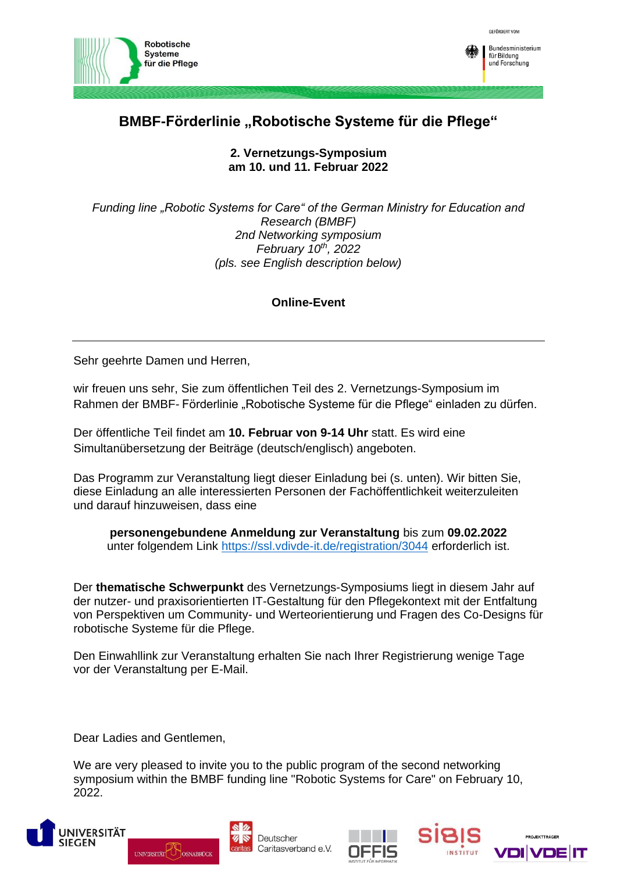

## **BMBF-Förderlinie "Robotische Systeme für die Pflege"**

**2. Vernetzungs-Symposium am 10. und 11. Februar 2022**

*Funding line "Robotic Systems for Care" of the German Ministry for Education and Research (BMBF) 2nd Networking symposium February 10th, 2022 (pls. see English description below)*

## **Online-Event**

Sehr geehrte Damen und Herren,

wir freuen uns sehr, Sie zum öffentlichen Teil des 2. Vernetzungs-Symposium im Rahmen der BMBF- Förderlinie "Robotische Systeme für die Pflege" einladen zu dürfen.

Der öffentliche Teil findet am **10. Februar von 9-14 Uhr** statt. Es wird eine Simultanübersetzung der Beiträge (deutsch/englisch) angeboten.

Das Programm zur Veranstaltung liegt dieser Einladung bei (s. unten). Wir bitten Sie, diese Einladung an alle interessierten Personen der Fachöffentlichkeit weiterzuleiten und darauf hinzuweisen, dass eine

**personengebundene Anmeldung zur Veranstaltung** bis zum **09.02.2022** unter folgendem Link<https://ssl.vdivde-it.de/registration/3044> erforderlich ist.

Der **thematische Schwerpunkt** des Vernetzungs-Symposiums liegt in diesem Jahr auf der nutzer- und praxisorientierten IT-Gestaltung für den Pflegekontext mit der Entfaltung von Perspektiven um Community- und Werteorientierung und Fragen des Co-Designs für robotische Systeme für die Pflege.

Den Einwahllink zur Veranstaltung erhalten Sie nach Ihrer Registrierung wenige Tage vor der Veranstaltung per E-Mail.

Dear Ladies and Gentlemen,

We are very pleased to invite you to the public program of the second networking symposium within the BMBF funding line "Robotic Systems for Care" on February 10, 2022.